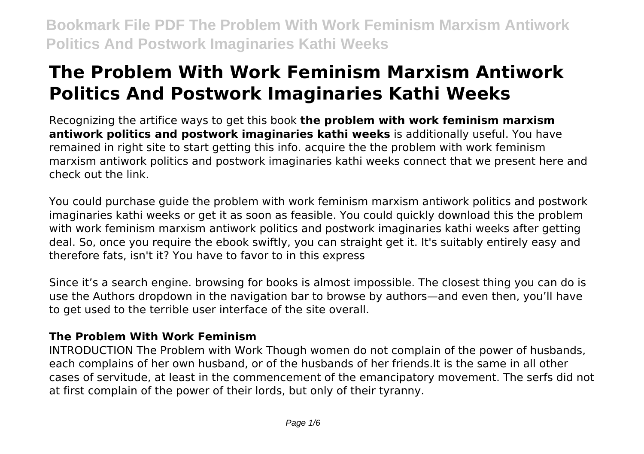# **The Problem With Work Feminism Marxism Antiwork Politics And Postwork Imaginaries Kathi Weeks**

Recognizing the artifice ways to get this book **the problem with work feminism marxism antiwork politics and postwork imaginaries kathi weeks** is additionally useful. You have remained in right site to start getting this info. acquire the the problem with work feminism marxism antiwork politics and postwork imaginaries kathi weeks connect that we present here and check out the link.

You could purchase guide the problem with work feminism marxism antiwork politics and postwork imaginaries kathi weeks or get it as soon as feasible. You could quickly download this the problem with work feminism marxism antiwork politics and postwork imaginaries kathi weeks after getting deal. So, once you require the ebook swiftly, you can straight get it. It's suitably entirely easy and therefore fats, isn't it? You have to favor to in this express

Since it's a search engine. browsing for books is almost impossible. The closest thing you can do is use the Authors dropdown in the navigation bar to browse by authors—and even then, you'll have to get used to the terrible user interface of the site overall.

### **The Problem With Work Feminism**

INTRODUCTION The Problem with Work Though women do not complain of the power of husbands, each complains of her own husband, or of the husbands of her friends.It is the same in all other cases of servitude, at least in the commencement of the emancipatory movement. The serfs did not at first complain of the power of their lords, but only of their tyranny.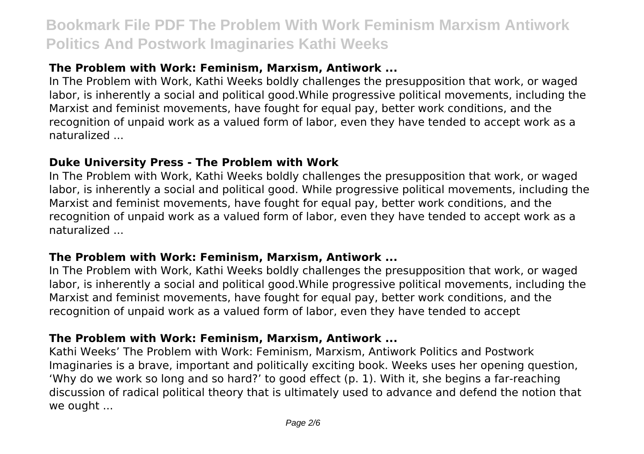## **The Problem with Work: Feminism, Marxism, Antiwork ...**

In The Problem with Work, Kathi Weeks boldly challenges the presupposition that work, or waged labor, is inherently a social and political good.While progressive political movements, including the Marxist and feminist movements, have fought for equal pay, better work conditions, and the recognition of unpaid work as a valued form of labor, even they have tended to accept work as a naturalized ...

#### **Duke University Press - The Problem with Work**

In The Problem with Work, Kathi Weeks boldly challenges the presupposition that work, or waged labor, is inherently a social and political good. While progressive political movements, including the Marxist and feminist movements, have fought for equal pay, better work conditions, and the recognition of unpaid work as a valued form of labor, even they have tended to accept work as a naturalized ...

#### **The Problem with Work: Feminism, Marxism, Antiwork ...**

In The Problem with Work, Kathi Weeks boldly challenges the presupposition that work, or waged labor, is inherently a social and political good.While progressive political movements, including the Marxist and feminist movements, have fought for equal pay, better work conditions, and the recognition of unpaid work as a valued form of labor, even they have tended to accept

#### **The Problem with Work: Feminism, Marxism, Antiwork ...**

Kathi Weeks' The Problem with Work: Feminism, Marxism, Antiwork Politics and Postwork Imaginaries is a brave, important and politically exciting book. Weeks uses her opening question, 'Why do we work so long and so hard?' to good effect (p. 1). With it, she begins a far-reaching discussion of radical political theory that is ultimately used to advance and defend the notion that we ought ...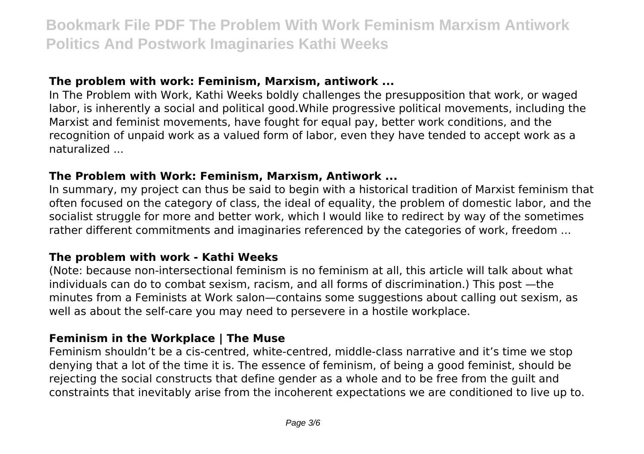#### **The problem with work: Feminism, Marxism, antiwork ...**

In The Problem with Work, Kathi Weeks boldly challenges the presupposition that work, or waged labor, is inherently a social and political good.While progressive political movements, including the Marxist and feminist movements, have fought for equal pay, better work conditions, and the recognition of unpaid work as a valued form of labor, even they have tended to accept work as a naturalized ...

#### **The Problem with Work: Feminism, Marxism, Antiwork ...**

In summary, my project can thus be said to begin with a historical tradition of Marxist feminism that often focused on the category of class, the ideal of equality, the problem of domestic labor, and the socialist struggle for more and better work, which I would like to redirect by way of the sometimes rather different commitments and imaginaries referenced by the categories of work, freedom ...

#### **The problem with work - Kathi Weeks**

(Note: because non-intersectional feminism is no feminism at all, this article will talk about what individuals can do to combat sexism, racism, and all forms of discrimination.) This post —the minutes from a Feminists at Work salon—contains some suggestions about calling out sexism, as well as about the self-care you may need to persevere in a hostile workplace.

#### **Feminism in the Workplace | The Muse**

Feminism shouldn't be a cis-centred, white-centred, middle-class narrative and it's time we stop denying that a lot of the time it is. The essence of feminism, of being a good feminist, should be rejecting the social constructs that define gender as a whole and to be free from the guilt and constraints that inevitably arise from the incoherent expectations we are conditioned to live up to.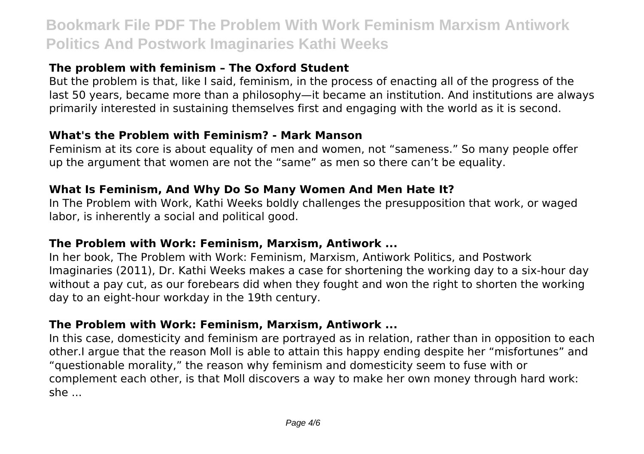## **The problem with feminism – The Oxford Student**

But the problem is that, like I said, feminism, in the process of enacting all of the progress of the last 50 years, became more than a philosophy—it became an institution. And institutions are always primarily interested in sustaining themselves first and engaging with the world as it is second.

#### **What's the Problem with Feminism? - Mark Manson**

Feminism at its core is about equality of men and women, not "sameness." So many people offer up the argument that women are not the "same" as men so there can't be equality.

#### **What Is Feminism, And Why Do So Many Women And Men Hate It?**

In The Problem with Work, Kathi Weeks boldly challenges the presupposition that work, or waged labor, is inherently a social and political good.

#### **The Problem with Work: Feminism, Marxism, Antiwork ...**

In her book, The Problem with Work: Feminism, Marxism, Antiwork Politics, and Postwork Imaginaries (2011), Dr. Kathi Weeks makes a case for shortening the working day to a six-hour day without a pay cut, as our forebears did when they fought and won the right to shorten the working day to an eight-hour workday in the 19th century.

#### **The Problem with Work: Feminism, Marxism, Antiwork ...**

In this case, domesticity and feminism are portrayed as in relation, rather than in opposition to each other.I argue that the reason Moll is able to attain this happy ending despite her "misfortunes" and "questionable morality," the reason why feminism and domesticity seem to fuse with or complement each other, is that Moll discovers a way to make her own money through hard work: she ...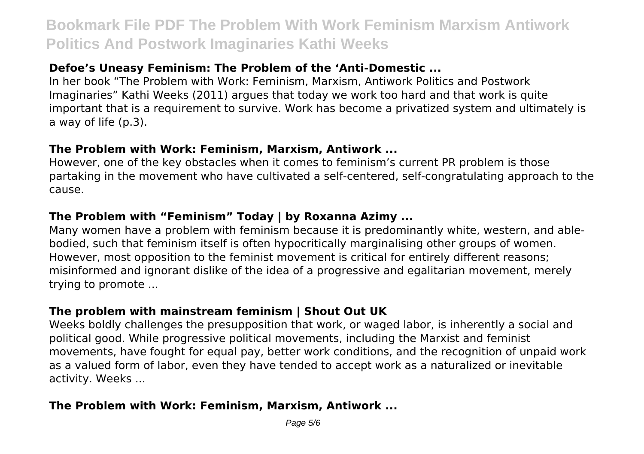## **Defoe's Uneasy Feminism: The Problem of the 'Anti-Domestic ...**

In her book "The Problem with Work: Feminism, Marxism, Antiwork Politics and Postwork Imaginaries" Kathi Weeks (2011) argues that today we work too hard and that work is quite important that is a requirement to survive. Work has become a privatized system and ultimately is a way of life (p.3).

#### **The Problem with Work: Feminism, Marxism, Antiwork ...**

However, one of the key obstacles when it comes to feminism's current PR problem is those partaking in the movement who have cultivated a self-centered, self-congratulating approach to the cause.

### **The Problem with "Feminism" Today | by Roxanna Azimy ...**

Many women have a problem with feminism because it is predominantly white, western, and ablebodied, such that feminism itself is often hypocritically marginalising other groups of women. However, most opposition to the feminist movement is critical for entirely different reasons; misinformed and ignorant dislike of the idea of a progressive and egalitarian movement, merely trying to promote ...

# **The problem with mainstream feminism | Shout Out UK**

Weeks boldly challenges the presupposition that work, or waged labor, is inherently a social and political good. While progressive political movements, including the Marxist and feminist movements, have fought for equal pay, better work conditions, and the recognition of unpaid work as a valued form of labor, even they have tended to accept work as a naturalized or inevitable activity. Weeks ...

### **The Problem with Work: Feminism, Marxism, Antiwork ...**